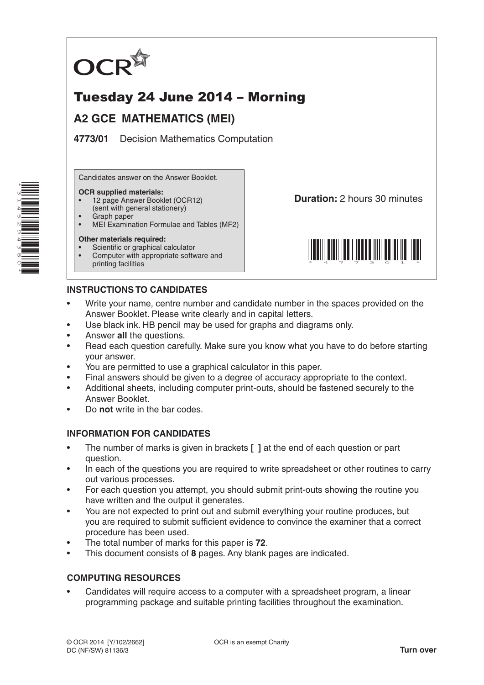

# Tuesday 24 June 2014 – Morning

# **A2 GCE MATHEMATICS (MEI)**

**4773/01** Decision Mathematics Computation

Candidates answer on the Answer Booklet.

#### **OCR supplied materials:**

- 12 page Answer Booklet (OCR12) (sent with general stationery)
- Graph paper
- MEI Examination Formulae and Tables (MF2)

#### **Other materials required:**

- Scientific or graphical calculator
- Computer with appropriate software and printing facilities

**Duration:** 2 hours 30 minutes



# **INSTRUCTIONS TO CANDIDATES**

- Write your name, centre number and candidate number in the spaces provided on the Answer Booklet. Please write clearly and in capital letters.
- Use black ink. HB pencil may be used for graphs and diagrams only.
- Answer **all** the questions.
- Read each question carefully. Make sure you know what you have to do before starting your answer.
- You are permitted to use a graphical calculator in this paper.
- Final answers should be given to a degree of accuracy appropriate to the context.
- Additional sheets, including computer print-outs, should be fastened securely to the Answer Booklet.
- Do **not** write in the bar codes.

# **INFORMATION FOR CANDIDATES**

- The number of marks is given in brackets **[ ]** at the end of each question or part question.
- In each of the questions you are required to write spreadsheet or other routines to carry out various processes.
- For each question you attempt, you should submit print-outs showing the routine you have written and the output it generates.
- You are not expected to print out and submit everything your routine produces, but you are required to submit sufficient evidence to convince the examiner that a correct procedure has been used.
- The total number of marks for this paper is **72**.
- This document consists of **8** pages. Any blank pages are indicated.

# **COMPUTING RESOURCES**

• Candidates will require access to a computer with a spreadsheet program, a linear programming package and suitable printing facilities throughout the examination.

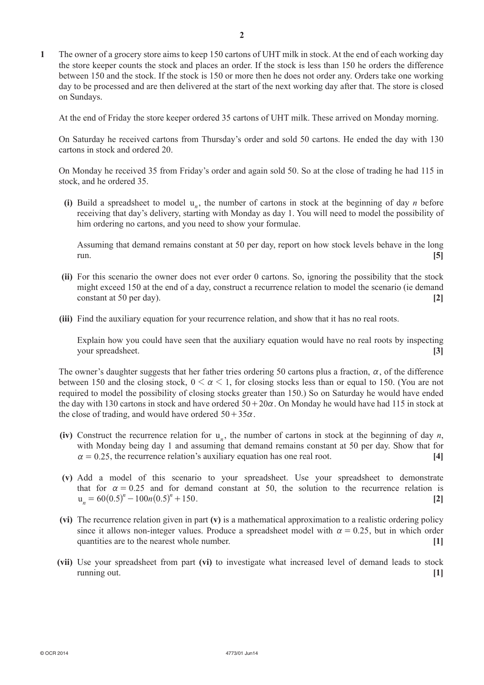**1**  The owner of a grocery store aims to keep 150 cartons of UHT milk in stock. At the end of each working day the store keeper counts the stock and places an order. If the stock is less than 150 he orders the difference between 150 and the stock. If the stock is 150 or more then he does not order any. Orders take one working day to be processed and are then delivered at the start of the next working day after that. The store is closed on Sundays.

At the end of Friday the store keeper ordered 35 cartons of UHT milk. These arrived on Monday morning.

On Saturday he received cartons from Thursday's order and sold 50 cartons. He ended the day with 130 cartons in stock and ordered 20.

On Monday he received 35 from Friday's order and again sold 50. So at the close of trading he had 115 in stock, and he ordered 35.

**(i)** Build a spreadsheet to model u<sub>n</sub>, the number of cartons in stock at the beginning of day *n* before receiving that day's delivery, starting with Monday as day 1. You will need to model the possibility of him ordering no cartons, and you need to show your formulae.

 Assuming that demand remains constant at 50 per day, report on how stock levels behave in the long run. **[5]**

- **(ii)** For this scenario the owner does not ever order 0 cartons. So, ignoring the possibility that the stock might exceed 150 at the end of a day, construct a recurrence relation to model the scenario (ie demand constant at 50 per day). **[2]**
- **(iii)** Find the auxiliary equation for your recurrence relation, and show that it has no real roots.

Explain how you could have seen that the auxiliary equation would have no real roots by inspecting your spreadsheet. **[3]**

The owner's daughter suggests that her father tries ordering 50 cartons plus a fraction,  $\alpha$ , of the difference between 150 and the closing stock,  $0 < \alpha < 1$ , for closing stocks less than or equal to 150. (You are not required to model the possibility of closing stocks greater than 150.) So on Saturday he would have ended the day with 130 cartons in stock and have ordered  $50+20\alpha$ . On Monday he would have had 115 in stock at the close of trading, and would have ordered  $50+35\alpha$ .

- **(iv)** Construct the recurrence relation for u<sub>n</sub>, the number of cartons in stock at the beginning of day *n*, with Monday being day 1 and assuming that demand remains constant at 50 per day. Show that for  $\alpha = 0.25$ , the recurrence relation's auxiliary equation has one real root.  $\lbrack 4 \rbrack$
- **(v)**  Add a model of this scenario to your spreadsheet. Use your spreadsheet to demonstrate that for  $\alpha = 0.25$  and for demand constant at 50, the solution to the recurrence relation is  $u_n = 60(0.5)^n - 100n(0.5)^n + 150.$  [2]
- **(vi)** The recurrence relation given in part **(v)** is a mathematical approximation to a realistic ordering policy since it allows non-integer values. Produce a spreadsheet model with  $\alpha = 0.25$ , but in which order quantities are to the nearest whole number. **[1]**
- **(vii)** Use your spreadsheet from part **(vi)** to investigate what increased level of demand leads to stock running out. **[1]**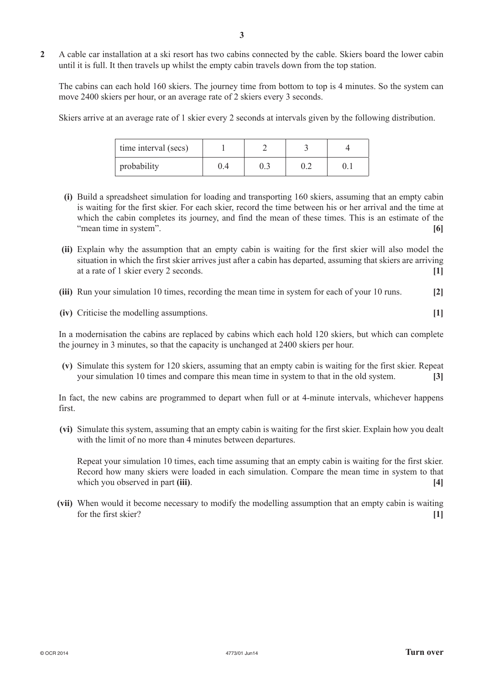**2**  A cable car installation at a ski resort has two cabins connected by the cable. Skiers board the lower cabin until it is full. It then travels up whilst the empty cabin travels down from the top station.

The cabins can each hold 160 skiers. The journey time from bottom to top is 4 minutes. So the system can move 2400 skiers per hour, or an average rate of 2 skiers every 3 seconds.

Skiers arrive at an average rate of 1 skier every 2 seconds at intervals given by the following distribution.

| time interval (secs) |            |  |  |
|----------------------|------------|--|--|
| probability          | $\sqrt{2}$ |  |  |

- **(i)** Build a spreadsheet simulation for loading and transporting 160 skiers, assuming that an empty cabin is waiting for the first skier. For each skier, record the time between his or her arrival and the time at which the cabin completes its journey, and find the mean of these times. This is an estimate of the "mean time in system". **[6]**
- **(ii)** Explain why the assumption that an empty cabin is waiting for the first skier will also model the situation in which the first skier arrives just after a cabin has departed, assuming that skiers are arriving at a rate of 1 skier every 2 seconds. **[1]**
- **(iii)** Run your simulation 10 times, recording the mean time in system for each of your 10 runs. **[2]**
- **(iv)** Criticise the modelling assumptions. **[1]**

In a modernisation the cabins are replaced by cabins which each hold 120 skiers, but which can complete the journey in 3 minutes, so that the capacity is unchanged at 2400 skiers per hour.

 **(v)**  Simulate this system for 120 skiers, assuming that an empty cabin is waiting for the first skier. Repeat your simulation 10 times and compare this mean time in system to that in the old system. **[3]**

In fact, the new cabins are programmed to depart when full or at 4-minute intervals, whichever happens first.

**(vi)** Simulate this system, assuming that an empty cabin is waiting for the first skier. Explain how you dealt with the limit of no more than 4 minutes between departures.

Repeat your simulation 10 times, each time assuming that an empty cabin is waiting for the first skier. Record how many skiers were loaded in each simulation. Compare the mean time in system to that which you observed in part (iii).

**(vii)** When would it become necessary to modify the modelling assumption that an empty cabin is waiting for the first skier? **[1]**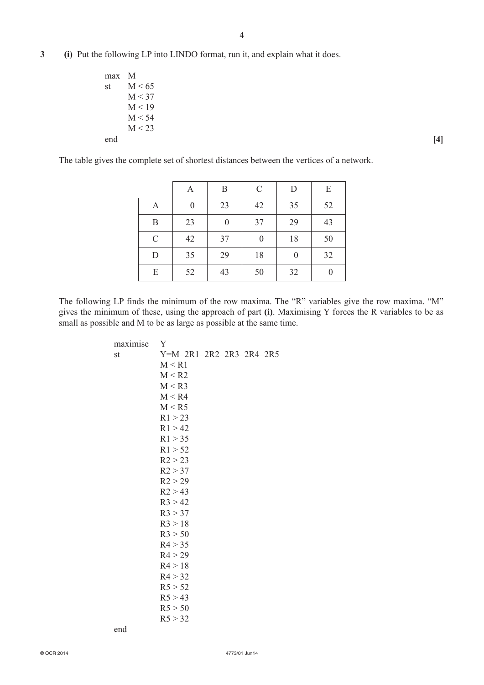**3** (i) Put the following LP into LINDO format, run it, and explain what it does.

```
 max M
st M < 65M < 37M < 19M < 54M < 23 end [4]
```
The table gives the complete set of shortest distances between the vertices of a network.

|               | А                | $\mathcal{C}$<br>B |                  | D                | E  |
|---------------|------------------|--------------------|------------------|------------------|----|
| А             | $\boldsymbol{0}$ | 23                 | 42               | 35               | 52 |
| B             | 23               | $\overline{0}$     | 37               | 29               | 43 |
| $\mathcal{C}$ | 42               | 37                 | $\boldsymbol{0}$ | 18               | 50 |
| D             | 35               | 29                 | 18               | $\boldsymbol{0}$ | 32 |
| E             | 52               | 43                 | 50               | 32               |    |

The following LP finds the minimum of the row maxima. The "R" variables give the row maxima. "M" gives the minimum of these, using the approach of part **(i)**. Maximising Y forces the R variables to be as small as possible and M to be as large as possible at the same time.

> maximise Y st Y=M−2R1−2R2−2R3−2R4−2R5  $M < R1$  $M < R2$  $M < R3$  $M < R4$  $M < R5$  $R1 > 23$  $R1 > 42$  $R1 > 35$  $R1 > 52$  $R2 > 23$  $R2 > 37$  $R2 > 29$  $R2 > 43$  $R3 > 42$  $R3 > 37$  $R3 > 18$  $R3 > 50$  $R4 > 35$  $R4 > 29$  $R4 > 18$  $R4 > 32$  $R5 > 52$  $R5 > 43$  $R5 > 50$  $R5 > 32$ end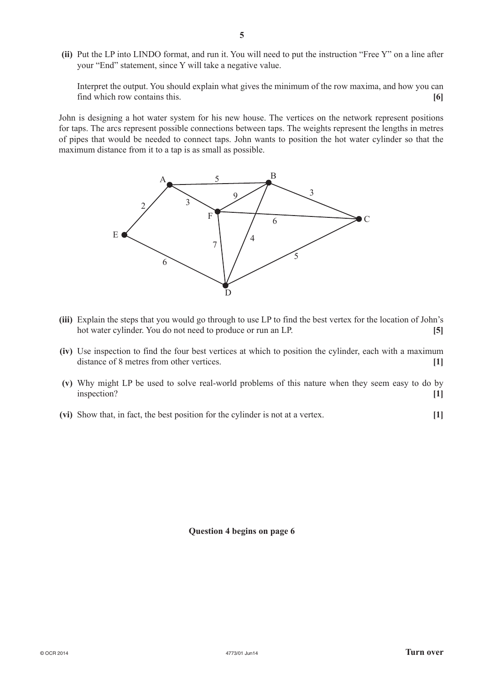**(ii)** Put the LP into LINDO format, and run it. You will need to put the instruction "Free Y" on a line after your "End" statement, since Y will take a negative value.

Interpret the output. You should explain what gives the minimum of the row maxima, and how you can find which row contains this. **[6]**

John is designing a hot water system for his new house. The vertices on the network represent positions for taps. The arcs represent possible connections between taps. The weights represent the lengths in metres of pipes that would be needed to connect taps. John wants to position the hot water cylinder so that the maximum distance from it to a tap is as small as possible.



- **(iii)** Explain the steps that you would go through to use LP to find the best vertex for the location of John's hot water cylinder. You do not need to produce or run an LP. **[5]**
- **(iv)** Use inspection to find the four best vertices at which to position the cylinder, each with a maximum distance of 8 metres from other vertices. **[1]**
- **(v)** Why might LP be used to solve real-world problems of this nature when they seem easy to do by inspection? **[1]**
- **(vi)** Show that, in fact, the best position for the cylinder is not at a vertex. **[1]**

**Question 4 begins on page 6**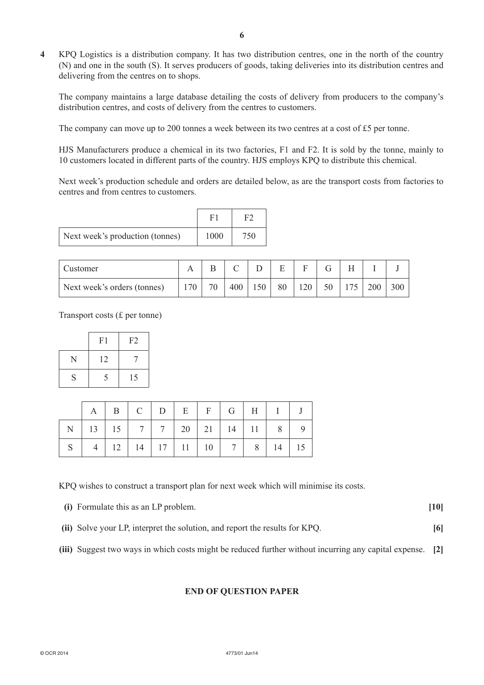**4**  KPQ Logistics is a distribution company. It has two distribution centres, one in the north of the country (N) and one in the south (S). It serves producers of goods, taking deliveries into its distribution centres and delivering from the centres on to shops.

The company maintains a large database detailing the costs of delivery from producers to the company's distribution centres, and costs of delivery from the centres to customers.

The company can move up to 200 tonnes a week between its two centres at a cost of £5 per tonne.

HJS Manufacturers produce a chemical in its two factories, F1 and F2. It is sold by the tonne, mainly to 10 customers located in different parts of the country. HJS employs KPQ to distribute this chemical.

Next week's production schedule and orders are detailed below, as are the transport costs from factories to centres and from centres to customers.

| Next week's production (tonnes) | 1000 |  |
|---------------------------------|------|--|

| ∠ustomer                    |     |    |     |    | г<br>н |     |    |    |     |     |
|-----------------------------|-----|----|-----|----|--------|-----|----|----|-----|-----|
| Next week's orders (tonnes) | 170 | 70 | 400 | 50 | 80     | 120 | 50 | 75 | 200 | 300 |

Transport costs (£ per tonne)

|           | F <sub>1</sub> | F <sub>2</sub> |
|-----------|----------------|----------------|
| ${\bf N}$ | 12             |                |
| S         | 5              | 15             |

|                                                    |  | $A \mid B \mid C \mid D \mid E \mid F \mid G \mid H \mid I \mid J$ |  |  |  |
|----------------------------------------------------|--|--------------------------------------------------------------------|--|--|--|
| N   13   15   7   7   20   21   14   11   8   9    |  |                                                                    |  |  |  |
| $S$   4   12   14   17   11   10   7   8   14   15 |  |                                                                    |  |  |  |

KPQ wishes to construct a transport plan for next week which will minimise its costs.

| (i) Formulate this as an LP problem. | [10] |  |
|--------------------------------------|------|--|
|--------------------------------------|------|--|

- **(ii)** Solve your LP, interpret the solution, and report the results for KPQ. **[6]**
- **(iii)** Suggest two ways in which costs might be reduced further without incurring any capital expense. [2]

#### **END OF QUESTION PAPER**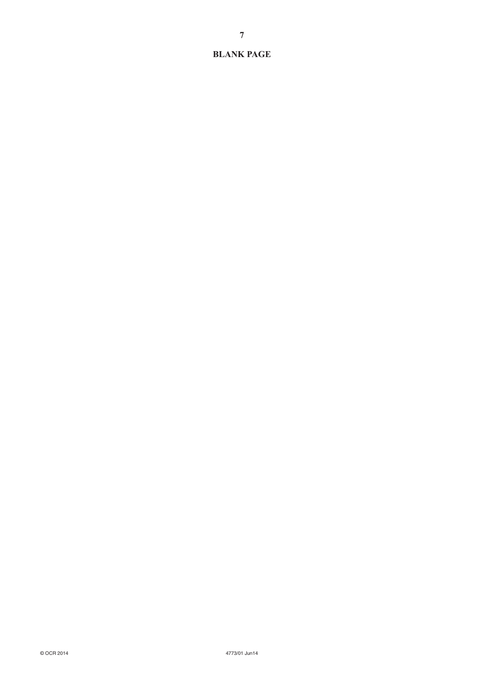### **BLANK PAGE**